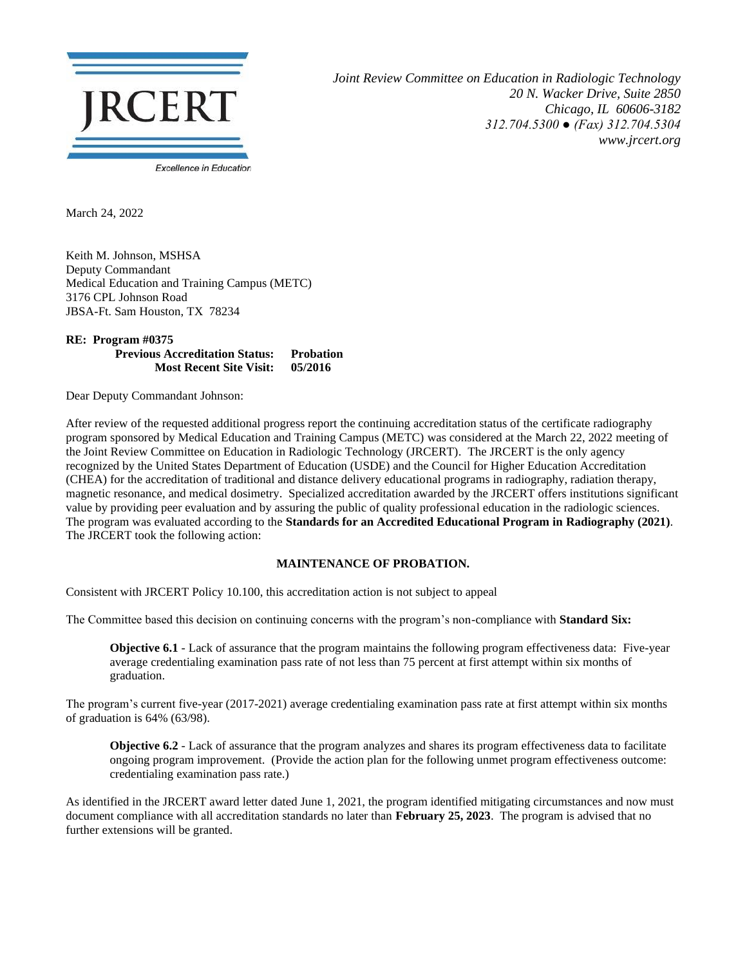

*Joint Review Committee on Education in Radiologic Technology 20 N. Wacker Drive, Suite 2850 Chicago, IL 60606-3182 312.704.5300 ● (Fax) 312.704.5304 www.jrcert.org*

March 24, 2022

Keith M. Johnson, MSHSA Deputy Commandant Medical Education and Training Campus (METC) 3176 CPL Johnson Road JBSA-Ft. Sam Houston, TX 78234

**RE: Program #0375 Previous Accreditation Status: Probation Most Recent Site Visit: 05/2016**

Dear Deputy Commandant Johnson:

After review of the requested additional progress report the continuing accreditation status of the certificate radiography program sponsored by Medical Education and Training Campus (METC) was considered at the March 22, 2022 meeting of the Joint Review Committee on Education in Radiologic Technology (JRCERT). The JRCERT is the only agency recognized by the United States Department of Education (USDE) and the Council for Higher Education Accreditation (CHEA) for the accreditation of traditional and distance delivery educational programs in radiography, radiation therapy, magnetic resonance, and medical dosimetry. Specialized accreditation awarded by the JRCERT offers institutions significant value by providing peer evaluation and by assuring the public of quality professional education in the radiologic sciences. The program was evaluated according to the **Standards for an Accredited Educational Program in Radiography (2021)**. The JRCERT took the following action:

## **MAINTENANCE OF PROBATION.**

Consistent with JRCERT Policy 10.100, this accreditation action is not subject to appeal

The Committee based this decision on continuing concerns with the program's non-compliance with **Standard Six:**

**Objective 6.1** - Lack of assurance that the program maintains the following program effectiveness data: Five-year average credentialing examination pass rate of not less than 75 percent at first attempt within six months of graduation.

The program's current five-year (2017-2021) average credentialing examination pass rate at first attempt within six months of graduation is 64% (63/98).

**Objective 6.2** - Lack of assurance that the program analyzes and shares its program effectiveness data to facilitate ongoing program improvement. (Provide the action plan for the following unmet program effectiveness outcome: credentialing examination pass rate.)

As identified in the JRCERT award letter dated June 1, 2021, the program identified mitigating circumstances and now must document compliance with all accreditation standards no later than **February 25, 2023**. The program is advised that no further extensions will be granted.